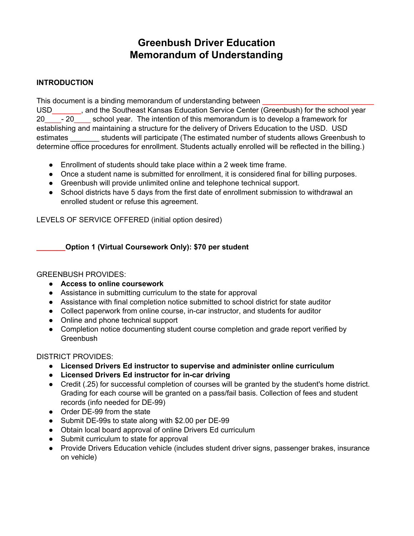# **Greenbush Driver Education Memorandum of Understanding**

# **INTRODUCTION**

This document is a binding memorandum of understanding between

USD\_\_\_\_\_\_\_, and the Southeast Kansas Education Service Center (Greenbush) for the school year 20\_\_\_\_- 20\_\_\_\_ school year. The intention of this memorandum is to develop a framework for establishing and maintaining a structure for the delivery of Drivers Education to the USD. USD estimates students will participate (The estimated number of students allows Greenbush to determine office procedures for enrollment. Students actually enrolled will be reflected in the billing.)

- Enrollment of students should take place within a 2 week time frame.
- Once a student name is submitted for enrollment, it is considered final for billing purposes.
- Greenbush will provide unlimited online and telephone technical support.
- School districts have 5 days from the first date of enrollment submission to withdrawal an enrolled student or refuse this agreement.

LEVELS OF SERVICE OFFERED (initial option desired)

# **\_\_\_\_\_\_\_Option 1 (Virtual Coursework Only): \$70 per student**

## GREENBUSH PROVIDES:

- **● Access to online coursework**
- Assistance in submitting curriculum to the state for approval
- Assistance with final completion notice submitted to school district for state auditor
- Collect paperwork from online course, in-car instructor, and students for auditor
- Online and phone technical support
- Completion notice documenting student course completion and grade report verified by **Greenbush**

## DISTRICT PROVIDES:

- **● Licensed Drivers Ed instructor to supervise and administer online curriculum**
- **● Licensed Drivers Ed instructor for in-car driving**
- Credit (.25) for successful completion of courses will be granted by the student's home district. Grading for each course will be granted on a pass/fail basis. Collection of fees and student records (info needed for DE-99)
- Order DE-99 from the state
- Submit DE-99s to state along with \$2.00 per DE-99
- Obtain local board approval of online Drivers Ed curriculum
- Submit curriculum to state for approval
- Provide Drivers Education vehicle (includes student driver signs, passenger brakes, insurance on vehicle)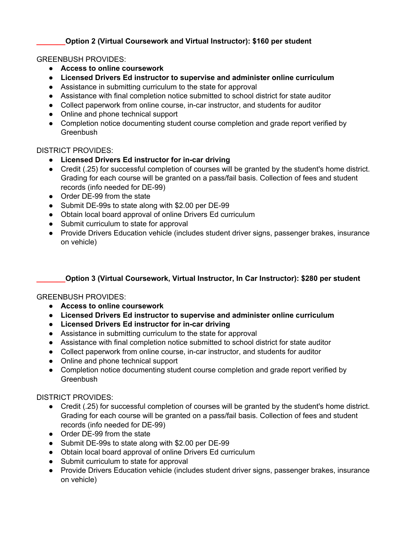# **\_\_\_\_\_\_\_Option 2 (Virtual Coursework and Virtual Instructor): \$160 per student**

# GREENBUSH PROVIDES:

- **● Access to online coursework**
- **● Licensed Drivers Ed instructor to supervise and administer online curriculum**
- Assistance in submitting curriculum to the state for approval
- Assistance with final completion notice submitted to school district for state auditor
- Collect paperwork from online course, in-car instructor, and students for auditor
- Online and phone technical support
- Completion notice documenting student course completion and grade report verified by **Greenbush**

## DISTRICT PROVIDES:

- **● Licensed Drivers Ed instructor for in-car driving**
- Credit (.25) for successful completion of courses will be granted by the student's home district. Grading for each course will be granted on a pass/fail basis. Collection of fees and student records (info needed for DE-99)
- Order DE-99 from the state
- Submit DE-99s to state along with \$2.00 per DE-99
- Obtain local board approval of online Drivers Ed curriculum
- Submit curriculum to state for approval
- Provide Drivers Education vehicle (includes student driver signs, passenger brakes, insurance on vehicle)

# **\_\_\_\_\_\_\_Option 3 (Virtual Coursework, Virtual Instructor, In Car Instructor): \$280 per student**

## GREENBUSH PROVIDES:

- **● Access to online coursework**
- **● Licensed Drivers Ed instructor to supervise and administer online curriculum**
- **● Licensed Drivers Ed instructor for in-car driving**
- Assistance in submitting curriculum to the state for approval
- Assistance with final completion notice submitted to school district for state auditor
- Collect paperwork from online course, in-car instructor, and students for auditor
- Online and phone technical support
- Completion notice documenting student course completion and grade report verified by **Greenbush**

## DISTRICT PROVIDES:

- Credit (.25) for successful completion of courses will be granted by the student's home district. Grading for each course will be granted on a pass/fail basis. Collection of fees and student records (info needed for DE-99)
- Order DE-99 from the state
- Submit DE-99s to state along with \$2.00 per DE-99
- Obtain local board approval of online Drivers Ed curriculum
- Submit curriculum to state for approval
- Provide Drivers Education vehicle (includes student driver signs, passenger brakes, insurance on vehicle)